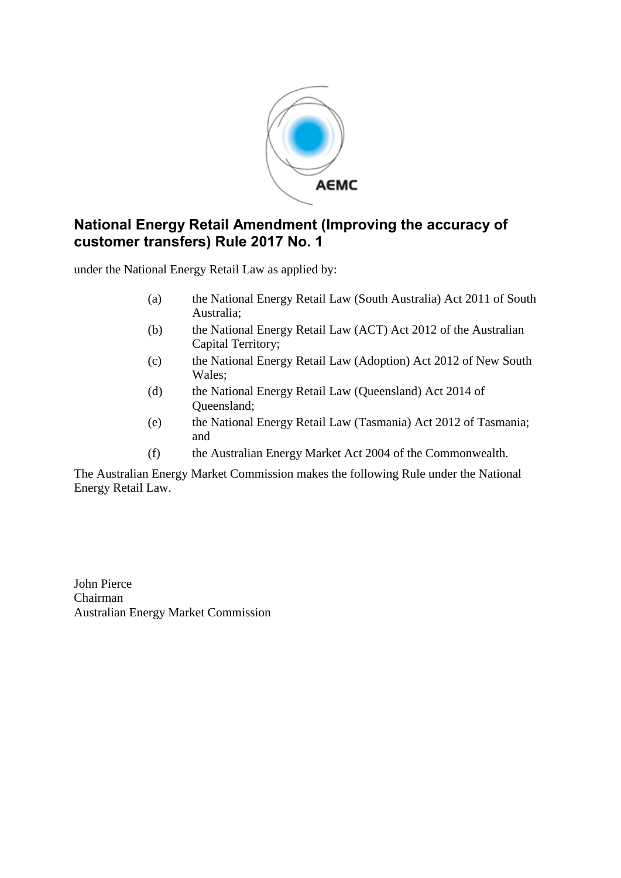

# **National Energy Retail Amendment (Improving the accuracy of customer transfers) Rule 2017 No. 1**

under the National Energy Retail Law as applied by:

- (a) the National Energy Retail Law (South Australia) Act 2011 of South Australia;
- (b) the National Energy Retail Law (ACT) Act 2012 of the Australian Capital Territory;
- (c) the National Energy Retail Law (Adoption) Act 2012 of New South Wales;
- (d) the National Energy Retail Law (Queensland) Act 2014 of Queensland;
- (e) the National Energy Retail Law (Tasmania) Act 2012 of Tasmania; and
- (f) the Australian Energy Market Act 2004 of the Commonwealth.

The Australian Energy Market Commission makes the following Rule under the National Energy Retail Law.

John Pierce Chairman Australian Energy Market Commission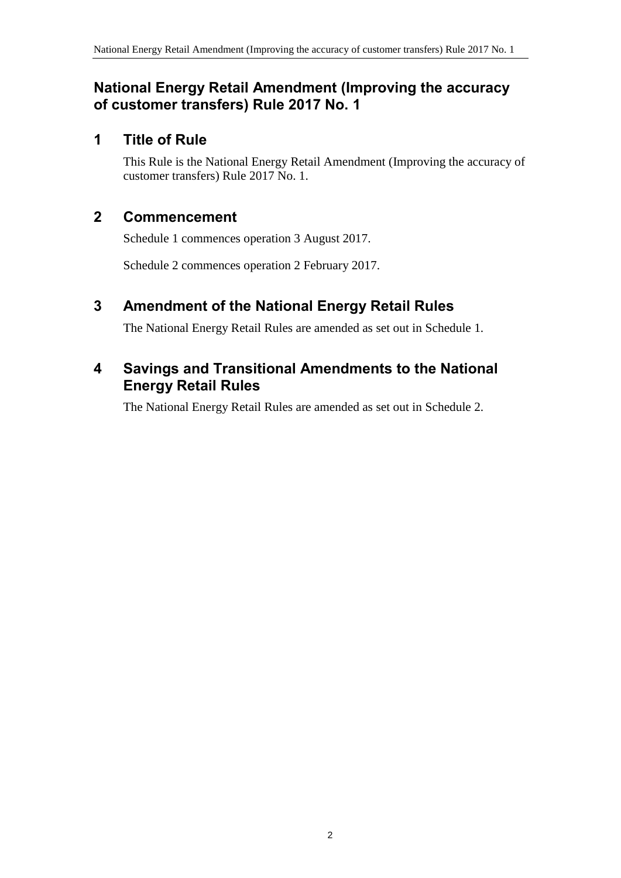## **National Energy Retail Amendment (Improving the accuracy of customer transfers) Rule 2017 No. 1**

## **1 Title of Rule**

This Rule is the National Energy Retail Amendment (Improving the accuracy of customer transfers) Rule 2017 No. 1.

## **2 Commencement**

Schedule 1 commences operation 3 August 2017.

Schedule 2 commences operation 2 February 2017.

# <span id="page-1-0"></span>**3 Amendment of the National Energy Retail Rules**

The National Energy Retail Rules are amended as set out in [Schedule 1.](#page-2-0)

# <span id="page-1-1"></span>**4 Savings and Transitional Amendments to the National Energy Retail Rules**

The National Energy Retail Rules are amended as set out in [Schedule 2.](#page-6-0)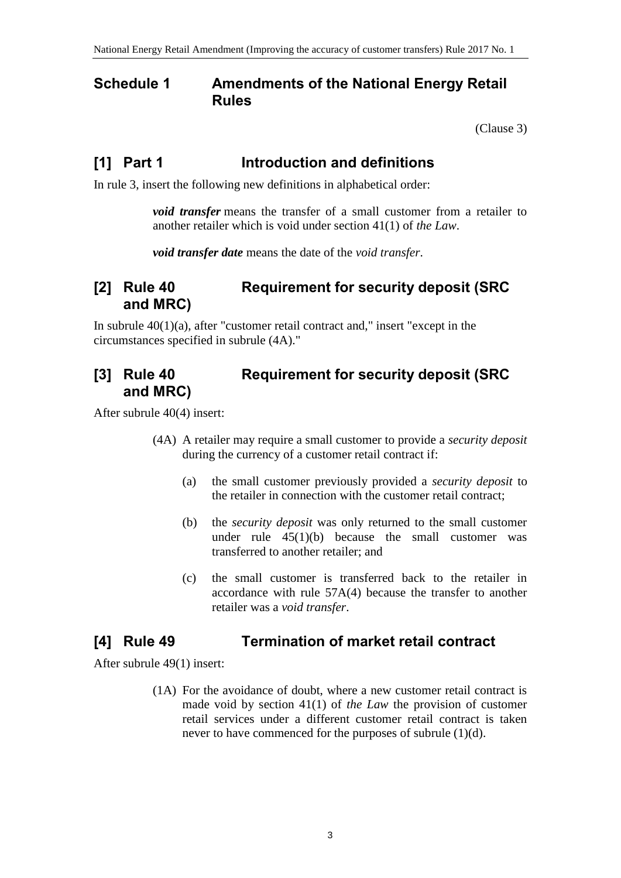### <span id="page-2-0"></span>**Schedule 1 Amendments of the National Energy Retail Rules**

[\(Clause](#page-1-0) 3)

### **[1] Part 1 Introduction and definitions**

In rule 3, insert the following new definitions in alphabetical order:

*void transfer* means the transfer of a small customer from a retailer to another retailer which is void under section 41(1) of *the Law*.

*void transfer date* means the date of the *void transfer*.

### **[2] Rule 40 Requirement for security deposit (SRC and MRC)**

In subrule  $40(1)(a)$ , after "customer retail contract and," insert "except in the circumstances specified in subrule (4A)."

### **[3] Rule 40 Requirement for security deposit (SRC and MRC)**

After subrule 40(4) insert:

- (4A) A retailer may require a small customer to provide a *security deposit* during the currency of a customer retail contract if:
	- (a) the small customer previously provided a *security deposit* to the retailer in connection with the customer retail contract;
	- (b) the *security deposit* was only returned to the small customer under rule  $45(1)(b)$  because the small customer was transferred to another retailer; and
	- (c) the small customer is transferred back to the retailer in accordance with rule 57A(4) because the transfer to another retailer was a *void transfer*.

## **[4] Rule 49 Termination of market retail contract**

After subrule 49(1) insert:

(1A) For the avoidance of doubt, where a new customer retail contract is made void by section 41(1) of *the Law* the provision of customer retail services under a different customer retail contract is taken never to have commenced for the purposes of subrule (1)(d).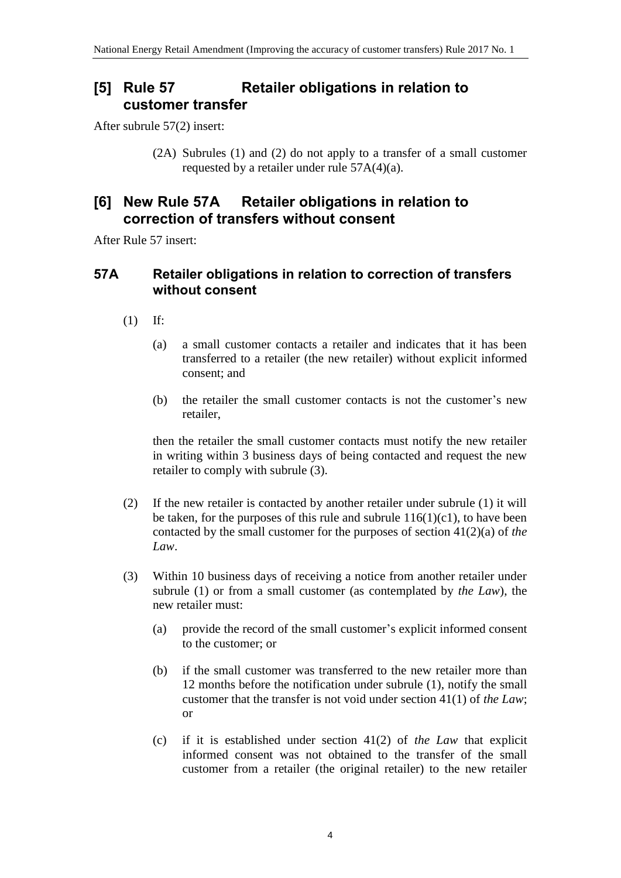### **[5] Rule 57 Retailer obligations in relation to customer transfer**

After subrule 57(2) insert:

(2A) Subrules (1) and (2) do not apply to a transfer of a small customer requested by a retailer under rule 57A(4)(a).

#### **[6] New Rule 57A Retailer obligations in relation to correction of transfers without consent**

After Rule 57 insert:

#### **57A Retailer obligations in relation to correction of transfers without consent**

- (1) If:
	- (a) a small customer contacts a retailer and indicates that it has been transferred to a retailer (the new retailer) without explicit informed consent; and
	- (b) the retailer the small customer contacts is not the customer's new retailer,

then the retailer the small customer contacts must notify the new retailer in writing within 3 business days of being contacted and request the new retailer to comply with subrule (3).

- (2) If the new retailer is contacted by another retailer under subrule (1) it will be taken, for the purposes of this rule and subrule  $116(1)(c1)$ , to have been contacted by the small customer for the purposes of section 41(2)(a) of *the Law*.
- (3) Within 10 business days of receiving a notice from another retailer under subrule (1) or from a small customer (as contemplated by *the Law*), the new retailer must:
	- (a) provide the record of the small customer's explicit informed consent to the customer; or
	- (b) if the small customer was transferred to the new retailer more than 12 months before the notification under subrule (1), notify the small customer that the transfer is not void under section 41(1) of *the Law*; or
	- (c) if it is established under section 41(2) of *the Law* that explicit informed consent was not obtained to the transfer of the small customer from a retailer (the original retailer) to the new retailer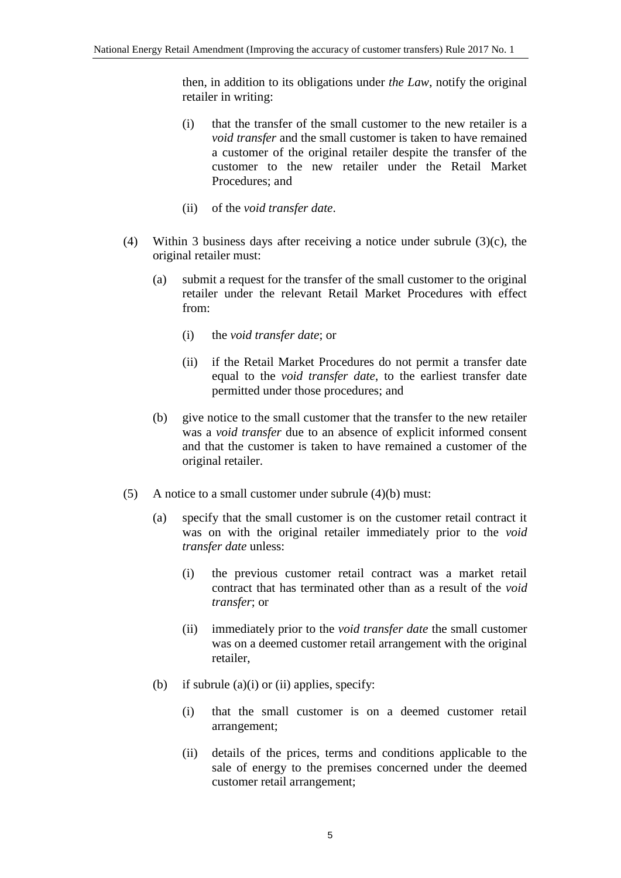then, in addition to its obligations under *the Law*, notify the original retailer in writing:

- (i) that the transfer of the small customer to the new retailer is a *void transfer* and the small customer is taken to have remained a customer of the original retailer despite the transfer of the customer to the new retailer under the Retail Market Procedures; and
- (ii) of the *void transfer date*.
- (4) Within 3 business days after receiving a notice under subrule (3)(c), the original retailer must:
	- (a) submit a request for the transfer of the small customer to the original retailer under the relevant Retail Market Procedures with effect from:
		- (i) the *void transfer date*; or
		- (ii) if the Retail Market Procedures do not permit a transfer date equal to the *void transfer date*, to the earliest transfer date permitted under those procedures; and
	- (b) give notice to the small customer that the transfer to the new retailer was a *void transfer* due to an absence of explicit informed consent and that the customer is taken to have remained a customer of the original retailer.
- (5) A notice to a small customer under subrule (4)(b) must:
	- (a) specify that the small customer is on the customer retail contract it was on with the original retailer immediately prior to the *void transfer date* unless:
		- (i) the previous customer retail contract was a market retail contract that has terminated other than as a result of the *void transfer*; or
		- (ii) immediately prior to the *void transfer date* the small customer was on a deemed customer retail arrangement with the original retailer,
	- (b) if subrule  $(a)(i)$  or  $(ii)$  applies, specify:
		- (i) that the small customer is on a deemed customer retail arrangement;
		- (ii) details of the prices, terms and conditions applicable to the sale of energy to the premises concerned under the deemed customer retail arrangement;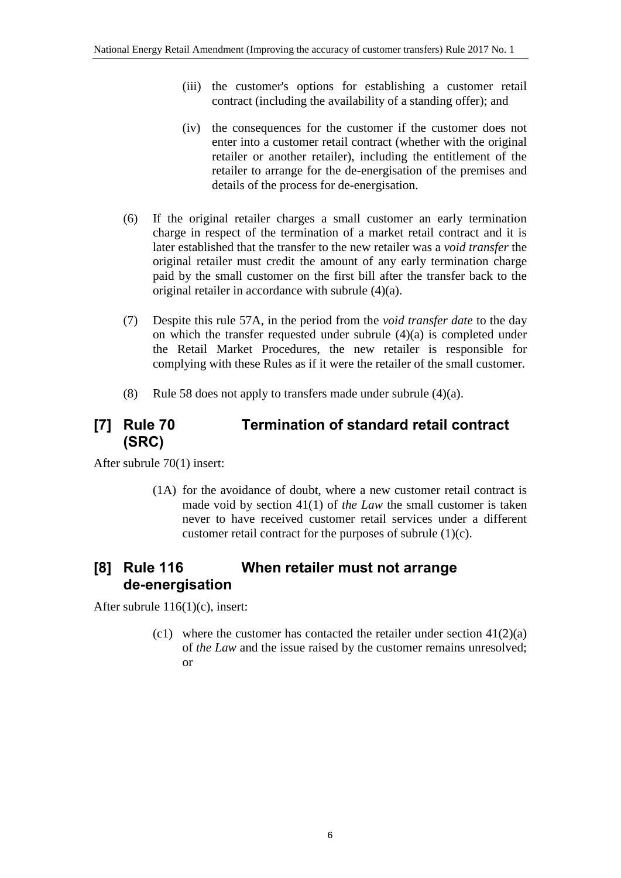- (iii) the customer's options for establishing a customer retail contract (including the availability of a standing offer); and
- (iv) the consequences for the customer if the customer does not enter into a customer retail contract (whether with the original retailer or another retailer), including the entitlement of the retailer to arrange for the de-energisation of the premises and details of the process for de-energisation.
- (6) If the original retailer charges a small customer an early termination charge in respect of the termination of a market retail contract and it is later established that the transfer to the new retailer was a *void transfer* the original retailer must credit the amount of any early termination charge paid by the small customer on the first bill after the transfer back to the original retailer in accordance with subrule (4)(a).
- (7) Despite this rule 57A, in the period from the *void transfer date* to the day on which the transfer requested under subrule  $(4)(a)$  is completed under the Retail Market Procedures, the new retailer is responsible for complying with these Rules as if it were the retailer of the small customer.
- (8) Rule 58 does not apply to transfers made under subrule (4)(a).

# **[7] Rule 70 Termination of standard retail contract (SRC)**

After subrule 70(1) insert:

(1A) for the avoidance of doubt, where a new customer retail contract is made void by section 41(1) of *the Law* the small customer is taken never to have received customer retail services under a different customer retail contract for the purposes of subrule (1)(c).

# **[8] Rule 116 When retailer must not arrange de-energisation**

After subrule 116(1)(c), insert:

(c1) where the customer has contacted the retailer under section  $41(2)(a)$ of *the Law* and the issue raised by the customer remains unresolved; or